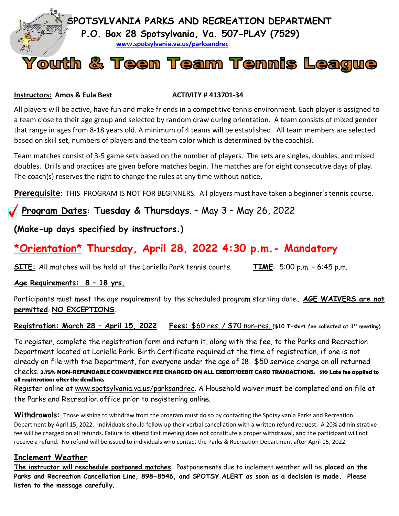

#### **Instructors: Amos & Eula Best ACTIVITY # 413701-34**

All players will be active, have fun and make friends in a competitive tennis environment. Each player is assigned to a team close to their age group and selected by random draw during orientation. A team consists of mixed gender that range in ages from 8-18 years old. A minimum of 4 teams will be established. All team members are selected based on skill set, numbers of players and the team color which is determined by the coach(s).

Team matches consist of 3-5 game sets based on the number of players. The sets are singles, doubles, and mixed doubles. Drills and practices are given before matches begin. The matches are for eight consecutive days of play. The coach(s) reserves the right to change the rules at any time without notice.

**Prerequisite**: THIS PROGRAM IS NOT FOR BEGINNERS. All players must have taken a beginner's tennis course.

## **Program Dates: Tuesday & Thursdays**. – May 3 – May 26, 2022

## **(Make-up days specified by instructors.)**

# **\*Orientation\* Thursday, April 28, 2022 4:30 p.m.- Mandatory**

**SITE:** All matches will be held at the Loriella Park tennis courts. **TIME**: 5:00 p.m. – 6:45 p.m.

## **Age Requirements: 8 – 18 yrs.**

Participants must meet the age requirement by the scheduled program starting date**. AGE WAIVERS are not permitted**. **NO EXCEPTIONS**.

**Registration: March 28 – April 15, 2022 Fees:** \$60 res. / \$70 non-res. **(\$10 T-shirt fee collected at 1st meeting)**

To register, complete the registration form and return it, along with the fee, to the Parks and Recreation Department located at Loriella Park. Birth Certificate required at the time of registration, if one is not already on file with the Department, for everyone under the age of 18. \$50 service charge on all returned checks. **2.75% NON-REFUNDABLE CONVENIENCE FEE CHARGED ON ALL CREDIT/DEBIT CARD TRANSACTIONS. \$10 Late fee applied to all registrations after the deadline.**

Register online at www.spotsylvania.va.us/parksandrec. A Household waiver must be completed and on file at the Parks and Recreation office prior to registering online.

**Withdrawals:** Those wishing to withdraw from the program must do so by contacting the Spotsylvania Parks and Recreation Department by April 15, 2022. Individuals should follow up their verbal cancellation with a written refund request. A 20% administrative fee will be charged on all refunds. Failure to attend first meeting does not constitute a proper withdrawal, and the participant will not receive a refund. No refund will be issued to individuals who contact the Parks & Recreation Department after April 15, 2022.

## **Inclement Weather**

**The instructor will reschedule postponed matches**. Postponements due to inclement weather will be **placed on the Parks and Recreation Cancellation Line, 898-8546, and SPOTSY ALERT as soon as a decision is made. Please listen to the message carefully**.